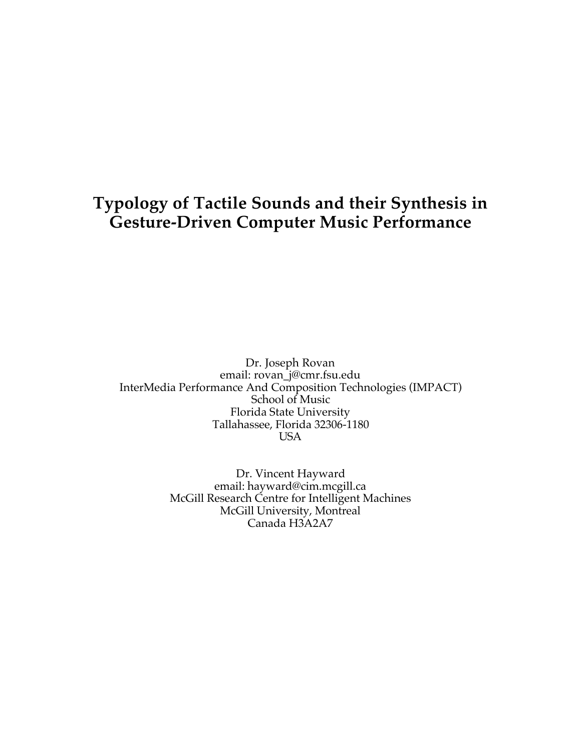# **Typology of Tactile Sounds and their Synthesis in Gesture-Driven Computer Music Performance**

Dr. Joseph Rovan email: rovan\_j@cmr.fsu.edu InterMedia Performance And Composition Technologies (IMPACT) School of Music Florida State University Tallahassee, Florida 32306-1180 USA

> Dr. Vincent Hayward email: hayward@cim.mcgill.ca McGill Research Centre for Intelligent Machines McGill University, Montreal Canada H3A2A7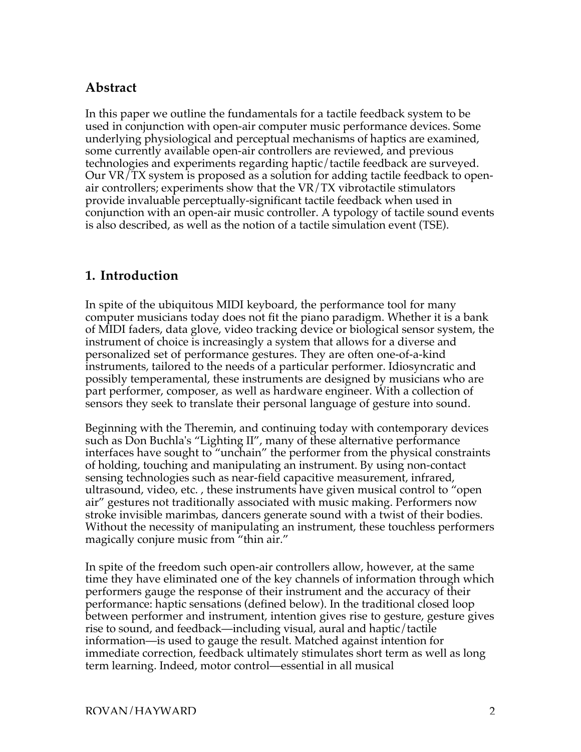# **Abstract**

In this paper we outline the fundamentals for a tactile feedback system to be used in conjunction with open-air computer music performance devices. Some underlying physiological and perceptual mechanisms of haptics are examined, some currently available open-air controllers are reviewed, and previous technologies and experiments regarding haptic/tactile feedback are surveyed. Our VR/TX system is proposed as a solution for adding tactile feedback to openair controllers; experiments show that the VR/TX vibrotactile stimulators provide invaluable perceptually-significant tactile feedback when used in conjunction with an open-air music controller. A typology of tactile sound events is also described, as well as the notion of a tactile simulation event (TSE).

# **1. Introduction**

In spite of the ubiquitous MIDI keyboard, the performance tool for many computer musicians today does not fit the piano paradigm. Whether it is a bank of MIDI faders, data glove, video tracking device or biological sensor system, the instrument of choice is increasingly a system that allows for a diverse and personalized set of performance gestures. They are often one-of-a-kind instruments, tailored to the needs of a particular performer. Idiosyncratic and possibly temperamental, these instruments are designed by musicians who are part performer, composer, as well as hardware engineer. With a collection of sensors they seek to translate their personal language of gesture into sound.

Beginning with the Theremin, and continuing today with contemporary devices such as Don Buchla's "Lighting II", many of these alternative performance interfaces have sought to "unchain" the performer from the physical constraints of holding, touching and manipulating an instrument. By using non-contact sensing technologies such as near-field capacitive measurement, infrared, ultrasound, video, etc. , these instruments have given musical control to "open air" gestures not traditionally associated with music making. Performers now stroke invisible marimbas, dancers generate sound with a twist of their bodies. Without the necessity of manipulating an instrument, these touchless performers magically conjure music from "thin air."

In spite of the freedom such open-air controllers allow, however, at the same time they have eliminated one of the key channels of information through which performers gauge the response of their instrument and the accuracy of their performance: haptic sensations (defined below). In the traditional closed loop between performer and instrument, intention gives rise to gesture, gesture gives rise to sound, and feedback—including visual, aural and haptic/tactile information—is used to gauge the result. Matched against intention for immediate correction, feedback ultimately stimulates short term as well as long term learning. Indeed, motor control—essential in all musical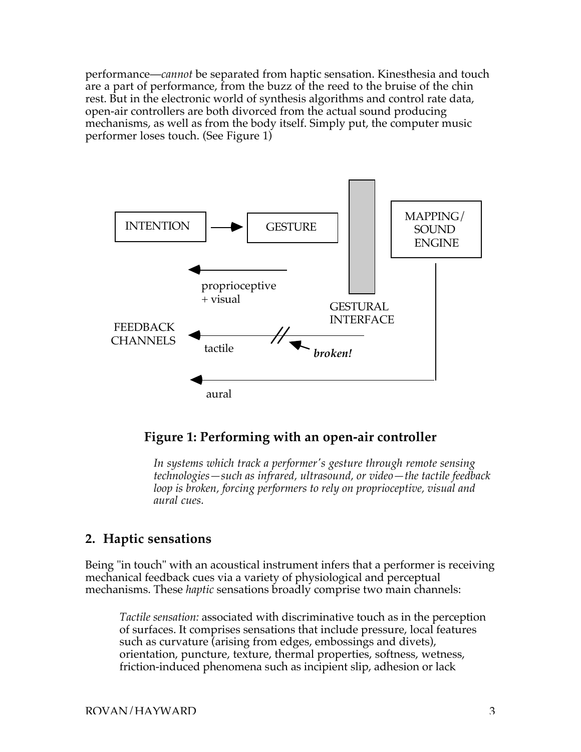performance—*cannot* be separated from haptic sensation. Kinesthesia and touch are a part of performance, from the buzz of the reed to the bruise of the chin rest. But in the electronic world of synthesis algorithms and control rate data, open-air controllers are both divorced from the actual sound producing mechanisms, as well as from the body itself. Simply put, the computer music performer loses touch. (See Figure 1)



## **Figure 1: Performing with an open-air controller**

*In systems which track a performer's gesture through remote sensing technologies—such as infrared, ultrasound, or video—the tactile feedback loop is broken, forcing performers to rely on proprioceptive, visual and aural cues.*

## **2. Haptic sensations**

Being "in touch" with an acoustical instrument infers that a performer is receiving mechanical feedback cues via a variety of physiological and perceptual mechanisms. These *haptic* sensations broadly comprise two main channels:

*Tactile sensation:* associated with discriminative touch as in the perception of surfaces. It comprises sensations that include pressure, local features such as curvature (arising from edges, embossings and divets), orientation, puncture, texture, thermal properties, softness, wetness, friction-induced phenomena such as incipient slip, adhesion or lack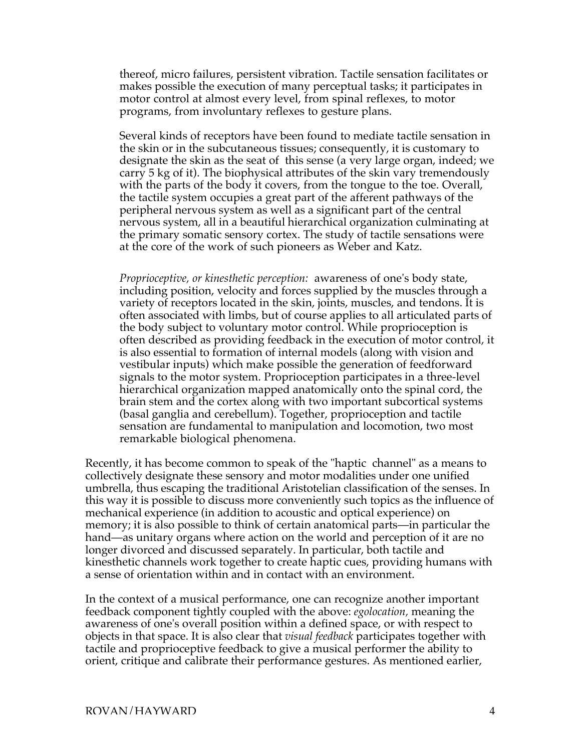thereof, micro failures, persistent vibration. Tactile sensation facilitates or makes possible the execution of many perceptual tasks; it participates in motor control at almost every level, from spinal reflexes, to motor programs, from involuntary reflexes to gesture plans.

Several kinds of receptors have been found to mediate tactile sensation in the skin or in the subcutaneous tissues; consequently, it is customary to designate the skin as the seat of this sense (a very large organ, indeed; we carry 5 kg of it). The biophysical attributes of the skin vary tremendously with the parts of the body it covers, from the tongue to the toe. Overall, the tactile system occupies a great part of the afferent pathways of the peripheral nervous system as well as a significant part of the central nervous system, all in a beautiful hierarchical organization culminating at the primary somatic sensory cortex. The study of tactile sensations were at the core of the work of such pioneers as Weber and Katz.

*Proprioceptive, or kinesthetic perception:* awareness of one's body state, including position, velocity and forces supplied by the muscles through a variety of receptors located in the skin, joints, muscles, and tendons. It is often associated with limbs, but of course applies to all articulated parts of the body subject to voluntary motor control. While proprioception is often described as providing feedback in the execution of motor control, it is also essential to formation of internal models (along with vision and vestibular inputs) which make possible the generation of feedforward signals to the motor system. Proprioception participates in a three-level hierarchical organization mapped anatomically onto the spinal cord, the brain stem and the cortex along with two important subcortical systems (basal ganglia and cerebellum). Together, proprioception and tactile sensation are fundamental to manipulation and locomotion, two most remarkable biological phenomena.

Recently, it has become common to speak of the "haptic channel" as a means to collectively designate these sensory and motor modalities under one unified umbrella, thus escaping the traditional Aristotelian classification of the senses. In this way it is possible to discuss more conveniently such topics as the influence of mechanical experience (in addition to acoustic and optical experience) on memory; it is also possible to think of certain anatomical parts—in particular the hand—as unitary organs where action on the world and perception of it are no longer divorced and discussed separately. In particular, both tactile and kinesthetic channels work together to create haptic cues, providing humans with a sense of orientation within and in contact with an environment.

In the context of a musical performance, one can recognize another important feedback component tightly coupled with the above: *egolocation,* meaning the awareness of one's overall position within a defined space, or with respect to objects in that space. It is also clear that *visual feedback* participates together with tactile and proprioceptive feedback to give a musical performer the ability to orient, critique and calibrate their performance gestures. As mentioned earlier,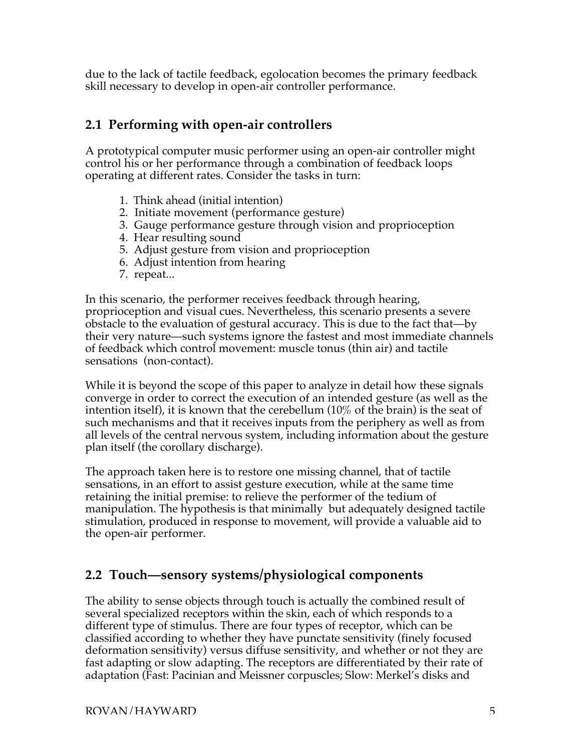due to the lack of tactile feedback, egolocation becomes the primary feedback skill necessary to develop in open-air controller performance.

# **2.1 Performing with open-air controllers**

A prototypical computer music performer using an open-air controller might control his or her performance through a combination of feedback loops operating at different rates. Consider the tasks in turn:

- 1. Think ahead (initial intention)
- 2. Initiate movement (performance gesture)
- 3. Gauge performance gesture through vision and proprioception
- 4. Hear resulting sound
- 5. Adjust gesture from vision and proprioception
- 6. Adjust intention from hearing
- 7. repeat...

In this scenario, the performer receives feedback through hearing, proprioception and visual cues. Nevertheless, this scenario presents a severe obstacle to the evaluation of gestural accuracy. This is due to the fact that—by their very nature—such systems ignore the fastest and most immediate channels of feedback which control movement: muscle tonus (thin air) and tactile sensations (non-contact).

While it is beyond the scope of this paper to analyze in detail how these signals converge in order to correct the execution of an intended gesture (as well as the intention itself), it is known that the cerebellum (10% of the brain) is the seat of such mechanisms and that it receives inputs from the periphery as well as from all levels of the central nervous system, including information about the gesture plan itself (the corollary discharge).

The approach taken here is to restore one missing channel, that of tactile sensations, in an effort to assist gesture execution, while at the same time retaining the initial premise: to relieve the performer of the tedium of manipulation. The hypothesis is that minimally but adequately designed tactile stimulation, produced in response to movement, will provide a valuable aid to the open-air performer.

# **2.2 Touch—sensory systems/physiological components**

The ability to sense objects through touch is actually the combined result of several specialized receptors within the skin, each of which responds to a different type of stimulus. There are four types of receptor, which can be classified according to whether they have punctate sensitivity (finely focused deformation sensitivity) versus diffuse sensitivity, and whether or not they are fast adapting or slow adapting. The receptors are differentiated by their rate of adaptation (Fast: Pacinian and Meissner corpuscles; Slow: Merkel's disks and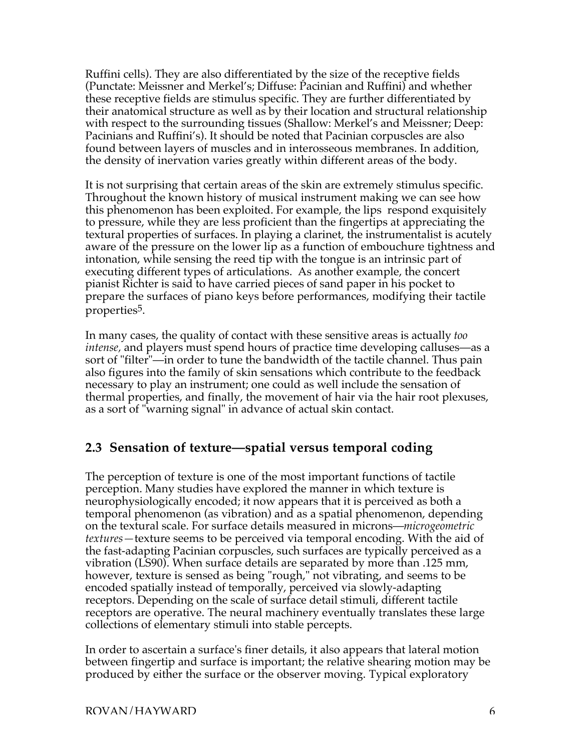Ruffini cells). They are also differentiated by the size of the receptive fields (Punctate: Meissner and Merkel's; Diffuse: Pacinian and Ruffini) and whether these receptive fields are stimulus specific. They are further differentiated by their anatomical structure as well as by their location and structural relationship with respect to the surrounding tissues (Shallow: Merkel's and Meissner; Deep: Pacinians and Ruffini's). It should be noted that Pacinian corpuscles are also found between layers of muscles and in interosseous membranes. In addition, the density of inervation varies greatly within different areas of the body.

It is not surprising that certain areas of the skin are extremely stimulus specific. Throughout the known history of musical instrument making we can see how this phenomenon has been exploited. For example, the lips respond exquisitely to pressure, while they are less proficient than the fingertips at appreciating the textural properties of surfaces. In playing a clarinet, the instrumentalist is acutely aware of the pressure on the lower lip as a function of embouchure tightness and intonation, while sensing the reed tip with the tongue is an intrinsic part of executing different types of articulations. As another example, the concert pianist Richter is said to have carried pieces of sand paper in his pocket to prepare the surfaces of piano keys before performances, modifying their tactile properties5.

In many cases, the quality of contact with these sensitive areas is actually *too intense,* and players must spend hours of practice time developing calluses—as a sort of "filter"—in order to tune the bandwidth of the tactile channel. Thus pain also figures into the family of skin sensations which contribute to the feedback necessary to play an instrument; one could as well include the sensation of thermal properties, and finally, the movement of hair via the hair root plexuses, as a sort of "warning signal" in advance of actual skin contact.

## **2.3 Sensation of texture—spatial versus temporal coding**

The perception of texture is one of the most important functions of tactile perception. Many studies have explored the manner in which texture is neurophysiologically encoded; it now appears that it is perceived as both a temporal phenomenon (as vibration) and as a spatial phenomenon, depending on the textural scale. For surface details measured in microns—*microgeometric textures—*texture seems to be perceived via temporal encoding. With the aid of the fast-adapting Pacinian corpuscles, such surfaces are typically perceived as a vibration (LS90). When surface details are separated by more than .125 mm, however, texture is sensed as being "rough," not vibrating, and seems to be encoded spatially instead of temporally, perceived via slowly-adapting receptors. Depending on the scale of surface detail stimuli, different tactile receptors are operative. The neural machinery eventually translates these large collections of elementary stimuli into stable percepts.

In order to ascertain a surface's finer details, it also appears that lateral motion between fingertip and surface is important; the relative shearing motion may be produced by either the surface or the observer moving. Typical exploratory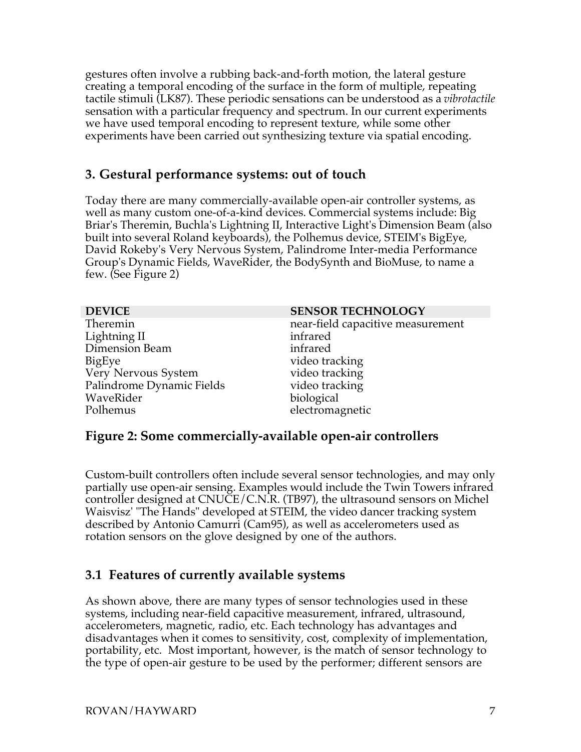gestures often involve a rubbing back-and-forth motion, the lateral gesture creating a temporal encoding of the surface in the form of multiple, repeating tactile stimuli (LK87). These periodic sensations can be understood as a *vibrotactile* sensation with a particular frequency and spectrum. In our current experiments we have used temporal encoding to represent texture, while some other experiments have been carried out synthesizing texture via spatial encoding.

## **3. Gestural performance systems: out of touch**

Today there are many commercially-available open-air controller systems, as well as many custom one-of-a-kind devices. Commercial systems include: Big Briar's Theremin, Buchla's Lightning II, Interactive Light's Dimension Beam (also built into several Roland keyboards), the Polhemus device, STEIM's BigEye, David Rokeby's Very Nervous System, Palindrome Inter-media Performance Group's Dynamic Fields, WaveRider, the BodySynth and BioMuse, to name a few. (See Figure 2)

| <b>DEVICE</b>             | <b>SENSOR TECHNOLOGY</b>          |
|---------------------------|-----------------------------------|
| Theremin                  | near-field capacitive measurement |
| Lightning II              | infrared                          |
| Dimension Beam            | infrared                          |
| <b>BigEye</b>             | video tracking                    |
| Very Nervous System       | video tracking                    |
| Palindrome Dynamic Fields | video tracking                    |
| WaveRider                 | biological                        |
| Polhemus                  | electromagnetic                   |

#### **Figure 2: Some commercially-available open-air controllers**

Custom-built controllers often include several sensor technologies, and may only partially use open-air sensing. Examples would include the Twin Towers infrared controller designed at CNUCE/C.N.R. (TB97), the ultrasound sensors on Michel Waisvisz' "The Hands" developed at STEIM, the video dancer tracking system described by Antonio Camurri (Cam95), as well as accelerometers used as rotation sensors on the glove designed by one of the authors.

## **3.1 Features of currently available systems**

As shown above, there are many types of sensor technologies used in these systems, including near-field capacitive measurement, infrared, ultrasound, accelerometers, magnetic, radio, etc. Each technology has advantages and disadvantages when it comes to sensitivity, cost, complexity of implementation, portability, etc. Most important, however, is the match of sensor technology to the type of open-air gesture to be used by the performer; different sensors are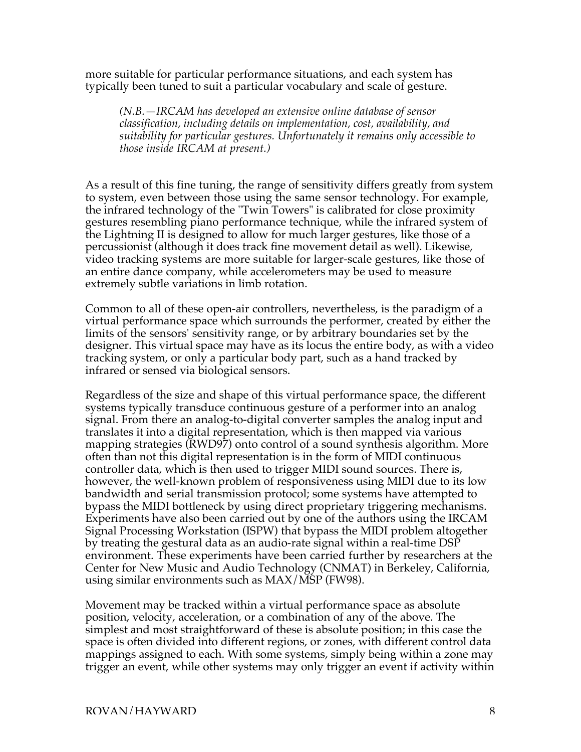more suitable for particular performance situations, and each system has typically been tuned to suit a particular vocabulary and scale of gesture.

*(N.B.—IRCAM has developed an extensive online database of sensor classification, including details on implementation, cost, availability, and suitability for particular gestures. Unfortunately it remains only accessible to those inside IRCAM at present.)*

As a result of this fine tuning, the range of sensitivity differs greatly from system to system, even between those using the same sensor technology. For example, the infrared technology of the "Twin Towers" is calibrated for close proximity gestures resembling piano performance technique, while the infrared system of the Lightning II is designed to allow for much larger gestures, like those of a percussionist (although it does track fine movement detail as well). Likewise, video tracking systems are more suitable for larger-scale gestures, like those of an entire dance company, while accelerometers may be used to measure extremely subtle variations in limb rotation.

Common to all of these open-air controllers, nevertheless, is the paradigm of a virtual performance space which surrounds the performer, created by either the limits of the sensors' sensitivity range, or by arbitrary boundaries set by the designer. This virtual space may have as its locus the entire body, as with a video tracking system, or only a particular body part, such as a hand tracked by infrared or sensed via biological sensors.

Regardless of the size and shape of this virtual performance space, the different systems typically transduce continuous gesture of a performer into an analog signal. From there an analog-to-digital converter samples the analog input and translates it into a digital representation, which is then mapped via various mapping strategies (RWD97) onto control of a sound synthesis algorithm. More often than not this digital representation is in the form of MIDI continuous controller data, which is then used to trigger MIDI sound sources. There is, however, the well-known problem of responsiveness using MIDI due to its low bandwidth and serial transmission protocol; some systems have attempted to bypass the MIDI bottleneck by using direct proprietary triggering mechanisms. Experiments have also been carried out by one of the authors using the IRCAM Signal Processing Workstation (ISPW) that bypass the MIDI problem altogether by treating the gestural data as an audio-rate signal within a real-time  $\text{DSP}$ environment. These experiments have been carried further by researchers at the Center for New Music and Audio Technology (CNMAT) in Berkeley, California, using similar environments such as MAX/MSP (FW98).

Movement may be tracked within a virtual performance space as absolute position, velocity, acceleration, or a combination of any of the above. The simplest and most straightforward of these is absolute position; in this case the space is often divided into different regions, or zones, with different control data mappings assigned to each. With some systems, simply being within a zone may trigger an event, while other systems may only trigger an event if activity within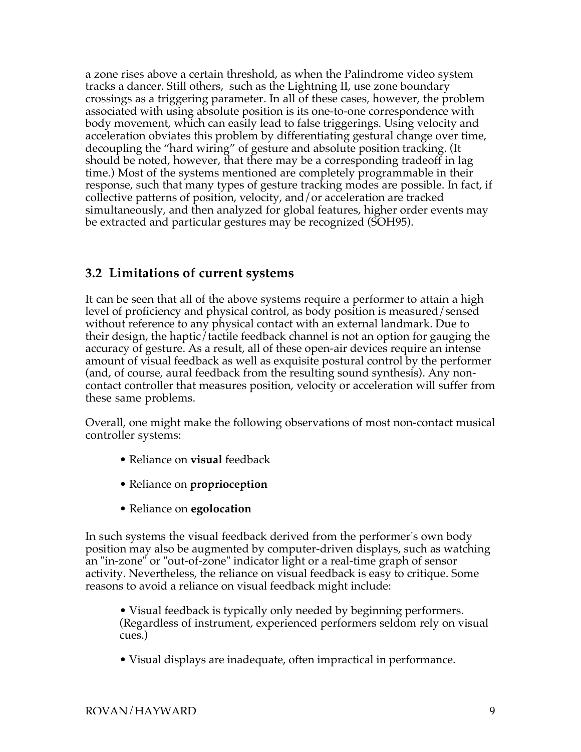a zone rises above a certain threshold, as when the Palindrome video system tracks a dancer. Still others, such as the Lightning II, use zone boundary crossings as a triggering parameter. In all of these cases, however, the problem associated with using absolute position is its one-to-one correspondence with body movement, which can easily lead to false triggerings. Using velocity and acceleration obviates this problem by differentiating gestural change over time, decoupling the "hard wiring" of gesture and absolute position tracking. (It should be noted, however, that there may be a corresponding tradeoff in lag time.) Most of the systems mentioned are completely programmable in their response, such that many types of gesture tracking modes are possible. In fact, if collective patterns of position, velocity, and/or acceleration are tracked simultaneously, and then analyzed for global features, higher order events may be extracted and particular gestures may be recognized (SOH95).

## **3.2 Limitations of current systems**

It can be seen that all of the above systems require a performer to attain a high level of proficiency and physical control, as body position is measured/sensed without reference to any physical contact with an external landmark. Due to their design, the haptic/tactile feedback channel is not an option for gauging the accuracy of gesture. As a result, all of these open-air devices require an intense amount of visual feedback as well as exquisite postural control by the performer (and, of course, aural feedback from the resulting sound synthesis). Any noncontact controller that measures position, velocity or acceleration will suffer from these same problems.

Overall, one might make the following observations of most non-contact musical controller systems:

- Reliance on **visual** feedback
- Reliance on **proprioception**
- Reliance on **egolocation**

In such systems the visual feedback derived from the performer's own body position may also be augmented by computer-driven displays, such as watching an "in-zone" or "out-of-zone" indicator light or a real-time graph of sensor activity. Nevertheless, the reliance on visual feedback is easy to critique. Some reasons to avoid a reliance on visual feedback might include:

• Visual feedback is typically only needed by beginning performers. (Regardless of instrument, experienced performers seldom rely on visual cues.)

• Visual displays are inadequate, often impractical in performance.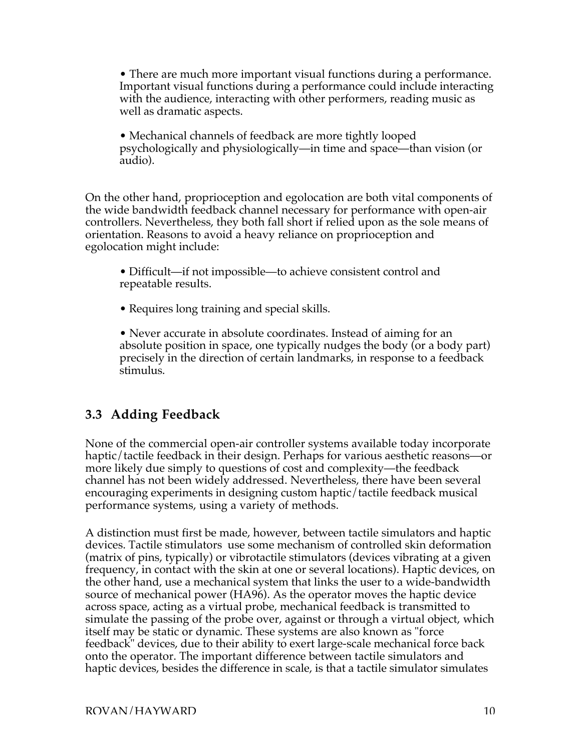• There are much more important visual functions during a performance. Important visual functions during a performance could include interacting with the audience, interacting with other performers, reading music as well as dramatic aspects.

• Mechanical channels of feedback are more tightly looped psychologically and physiologically—in time and space—than vision (or audio).

On the other hand, proprioception and egolocation are both vital components of the wide bandwidth feedback channel necessary for performance with open-air controllers. Nevertheless, they both fall short if relied upon as the sole means of orientation. Reasons to avoid a heavy reliance on proprioception and egolocation might include:

• Difficult—if not impossible—to achieve consistent control and repeatable results.

• Requires long training and special skills.

• Never accurate in absolute coordinates. Instead of aiming for an absolute position in space, one typically nudges the body (or a body part) precisely in the direction of certain landmarks, in response to a feedback stimulus.

# **3.3 Adding Feedback**

None of the commercial open-air controller systems available today incorporate haptic/tactile feedback in their design. Perhaps for various aesthetic reasons—or more likely due simply to questions of cost and complexity—the feedback channel has not been widely addressed. Nevertheless, there have been several encouraging experiments in designing custom haptic/tactile feedback musical performance systems, using a variety of methods.

A distinction must first be made, however, between tactile simulators and haptic devices. Tactile stimulators use some mechanism of controlled skin deformation (matrix of pins, typically) or vibrotactile stimulators (devices vibrating at a given frequency, in contact with the skin at one or several locations). Haptic devices, on the other hand, use a mechanical system that links the user to a wide-bandwidth source of mechanical power (HA96). As the operator moves the haptic device across space, acting as a virtual probe, mechanical feedback is transmitted to simulate the passing of the probe over, against or through a virtual object, which itself may be static or dynamic. These systems are also known as "force feedback" devices, due to their ability to exert large-scale mechanical force back onto the operator. The important difference between tactile simulators and haptic devices, besides the difference in scale, is that a tactile simulator simulates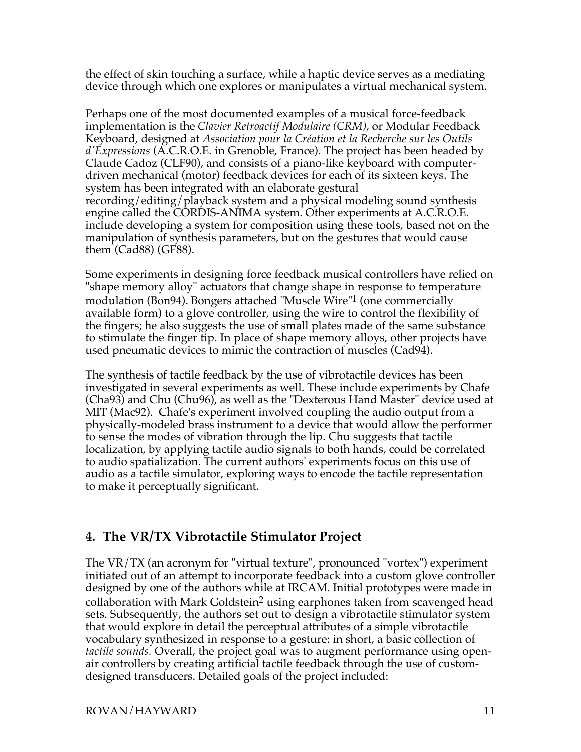the effect of skin touching a surface, while a haptic device serves as a mediating device through which one explores or manipulates a virtual mechanical system.

Perhaps one of the most documented examples of a musical force-feedback implementation is the *Clavier Retroactif Modulaire (CRM)*, or Modular Feedback Keyboard, designed at *Association pour la Création et la Recherche sur les Outils d'Expressions* (A.C.R.O.E. in Grenoble, France). The project has been headed by Claude Cadoz (CLF90), and consists of a piano-like keyboard with computerdriven mechanical (motor) feedback devices for each of its sixteen keys. The system has been integrated with an elaborate gestural recording/editing/playback system and a physical modeling sound synthesis engine called the CORDIS-ANIMA system. Other experiments at A.C.R.O.E. include developing a system for composition using these tools, based not on the manipulation of synthesis parameters, but on the gestures that would cause them (Cad88) (GF88).

Some experiments in designing force feedback musical controllers have relied on "shape memory alloy" actuators that change shape in response to temperature modulation (Bon94). Bongers attached "Muscle Wire"1 (one commercially available form) to a glove controller, using the wire to control the flexibility of the fingers; he also suggests the use of small plates made of the same substance to stimulate the finger tip. In place of shape memory alloys, other projects have used pneumatic devices to mimic the contraction of muscles (Cad94).

The synthesis of tactile feedback by the use of vibrotactile devices has been investigated in several experiments as well. These include experiments by Chafe (Cha93) and Chu (Chu96), as well as the "Dexterous Hand Master" device used at MIT (Mac92). Chafe's experiment involved coupling the audio output from a physically-modeled brass instrument to a device that would allow the performer to sense the modes of vibration through the lip. Chu suggests that tactile localization, by applying tactile audio signals to both hands, could be correlated to audio spatialization. The current authors' experiments focus on this use of audio as a tactile simulator, exploring ways to encode the tactile representation to make it perceptually significant.

# **4. The VR/TX Vibrotactile Stimulator Project**

The VR/TX (an acronym for "virtual texture", pronounced "vortex") experiment initiated out of an attempt to incorporate feedback into a custom glove controller designed by one of the authors while at IRCAM. Initial prototypes were made in collaboration with Mark Goldstein<sup>2</sup> using earphones taken from scavenged head sets. Subsequently, the authors set out to design a vibrotactile stimulator system that would explore in detail the perceptual attributes of a simple vibrotactile vocabulary synthesized in response to a gesture: in short, a basic collection of *tactile sounds.* Overall, the project goal was to augment performance using openair controllers by creating artificial tactile feedback through the use of customdesigned transducers. Detailed goals of the project included: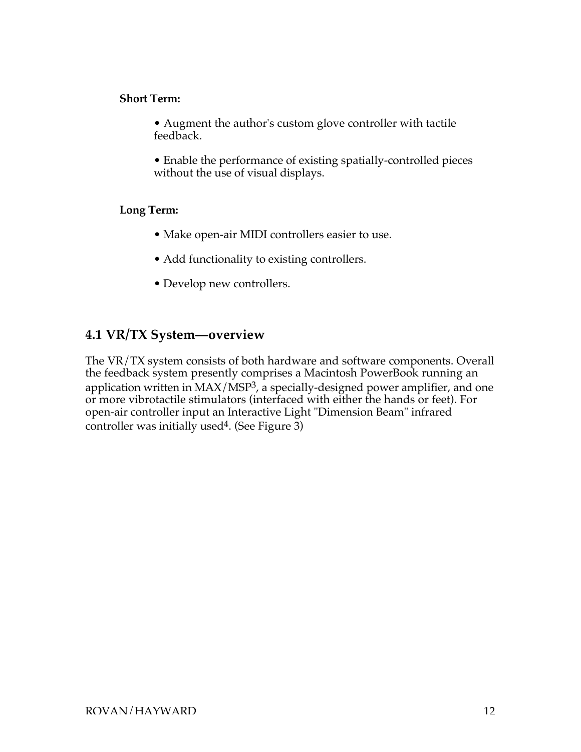#### **Short Term:**

- Augment the author's custom glove controller with tactile feedback.
- Enable the performance of existing spatially-controlled pieces without the use of visual displays.

#### **Long Term:**

- Make open-air MIDI controllers easier to use.
- Add functionality to existing controllers.
- Develop new controllers.

## **4.1 VR/TX System—overview**

The VR/TX system consists of both hardware and software components. Overall the feedback system presently comprises a Macintosh PowerBook running an application written in MAX/MSP3, a specially-designed power amplifier, and one or more vibrotactile stimulators (interfaced with either the hands or feet). For open-air controller input an Interactive Light "Dimension Beam" infrared controller was initially used4. (See Figure 3)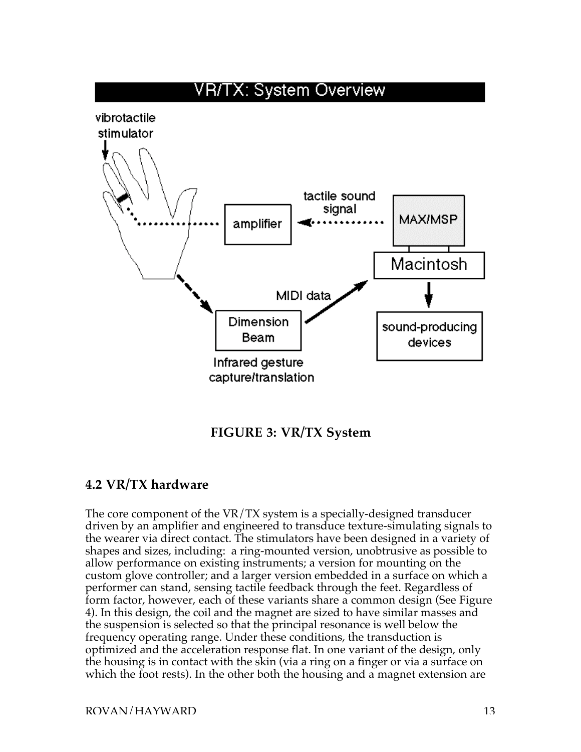

## **FIGURE 3: VR/TX System**

## **4.2 VR/TX hardware**

The core component of the VR/TX system is a specially-designed transducer driven by an amplifier and engineered to transduce texture-simulating signals to the wearer via direct contact. The stimulators have been designed in a variety of shapes and sizes, including: a ring-mounted version, unobtrusive as possible to allow performance on existing instruments; a version for mounting on the custom glove controller; and a larger version embedded in a surface on which a performer can stand, sensing tactile feedback through the feet. Regardless of form factor, however, each of these variants share a common design (See Figure 4). In this design, the coil and the magnet are sized to have similar masses and the suspension is selected so that the principal resonance is well below the frequency operating range. Under these conditions, the transduction is optimized and the acceleration response flat. In one variant of the design, only the housing is in contact with the skin (via a ring on a finger or via a surface on which the foot rests). In the other both the housing and a magnet extension are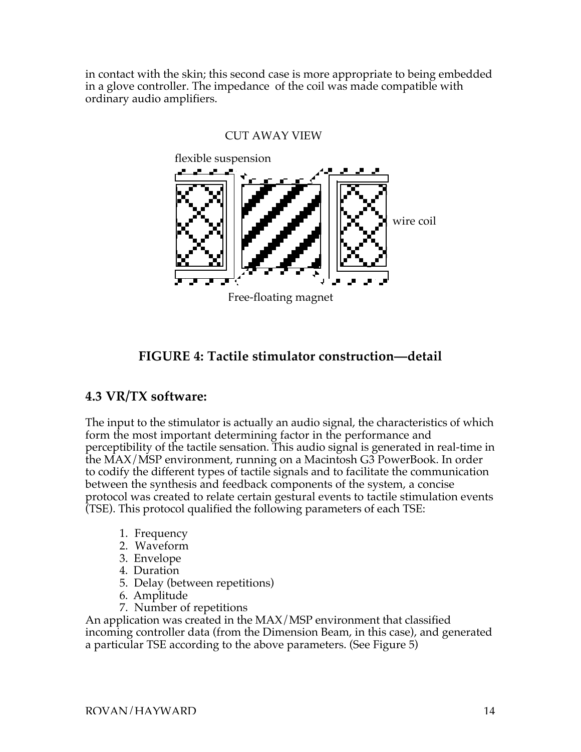in contact with the skin; this second case is more appropriate to being embedded in a glove controller. The impedance of the coil was made compatible with ordinary audio amplifiers.



#### CUT AWAY VIEW

## **FIGURE 4: Tactile stimulator construction—detail**

#### **4.3 VR/TX software:**

The input to the stimulator is actually an audio signal, the characteristics of which form the most important determining factor in the performance and perceptibility of the tactile sensation. This audio signal is generated in real-time in the MAX/MSP environment, running on a Macintosh G3 PowerBook. In order to codify the different types of tactile signals and to facilitate the communication between the synthesis and feedback components of the system, a concise protocol was created to relate certain gestural events to tactile stimulation events (TSE). This protocol qualified the following parameters of each TSE:

- 1. Frequency
- 2. Waveform
- 3. Envelope
- 4. Duration
- 5. Delay (between repetitions)
- 6. Amplitude
- 7. Number of repetitions

An application was created in the MAX/MSP environment that classified incoming controller data (from the Dimension Beam, in this case), and generated a particular TSE according to the above parameters. (See Figure 5)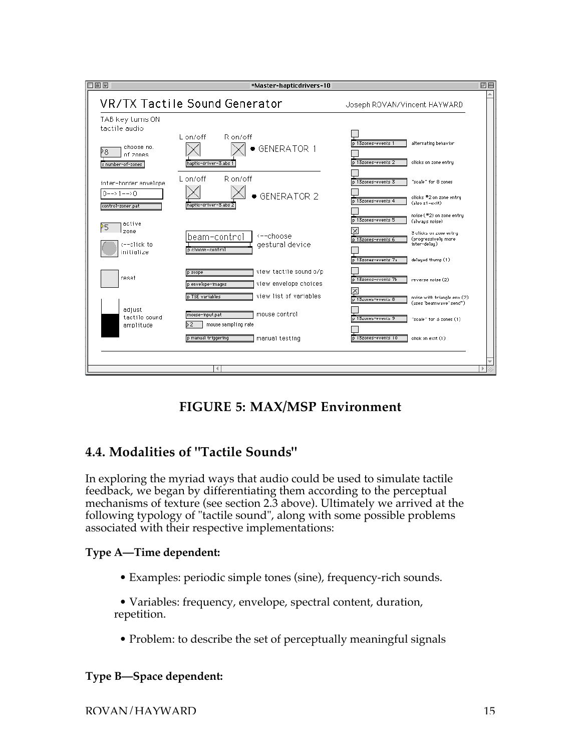

# **FIGURE 5: MAX/MSP Environment**

# **4.4. Modalities of "Tactile Sounds"**

In exploring the myriad ways that audio could be used to simulate tactile feedback, we began by differentiating them according to the perceptual mechanisms of texture (see section 2.3 above). Ultimately we arrived at the following typology of "tactile sound", along with some possible problems associated with their respective implementations:

#### **Type A—Time dependent:**

• Examples: periodic simple tones (sine), frequency-rich sounds.

• Variables: frequency, envelope, spectral content, duration, repetition.

• Problem: to describe the set of perceptually meaningful signals

## **Type B—Space dependent:**

ROVAN/HAYWARD 15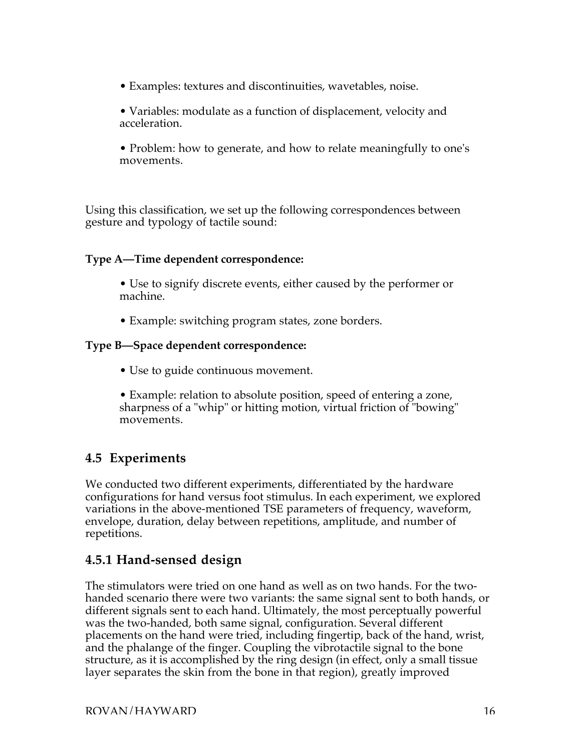- Examples: textures and discontinuities, wavetables, noise.
- Variables: modulate as a function of displacement, velocity and acceleration.

• Problem: how to generate, and how to relate meaningfully to one's movements.

Using this classification, we set up the following correspondences between gesture and typology of tactile sound:

#### **Type A—Time dependent correspondence:**

• Use to signify discrete events, either caused by the performer or machine.

• Example: switching program states, zone borders.

#### **Type B—Space dependent correspondence:**

- Use to guide continuous movement.
- Example: relation to absolute position, speed of entering a zone, sharpness of a "whip" or hitting motion, virtual friction of "bowing" movements.

# **4.5 Experiments**

We conducted two different experiments, differentiated by the hardware configurations for hand versus foot stimulus. In each experiment, we explored variations in the above-mentioned TSE parameters of frequency, waveform, envelope, duration, delay between repetitions, amplitude, and number of repetitions.

## **4.5.1 Hand-sensed design**

The stimulators were tried on one hand as well as on two hands. For the twohanded scenario there were two variants: the same signal sent to both hands, or different signals sent to each hand. Ultimately, the most perceptually powerful was the two-handed, both same signal, configuration. Several different placements on the hand were tried, including fingertip, back of the hand, wrist, and the phalange of the finger. Coupling the vibrotactile signal to the bone structure, as it is accomplished by the ring design (in effect, only a small tissue layer separates the skin from the bone in that region), greatly improved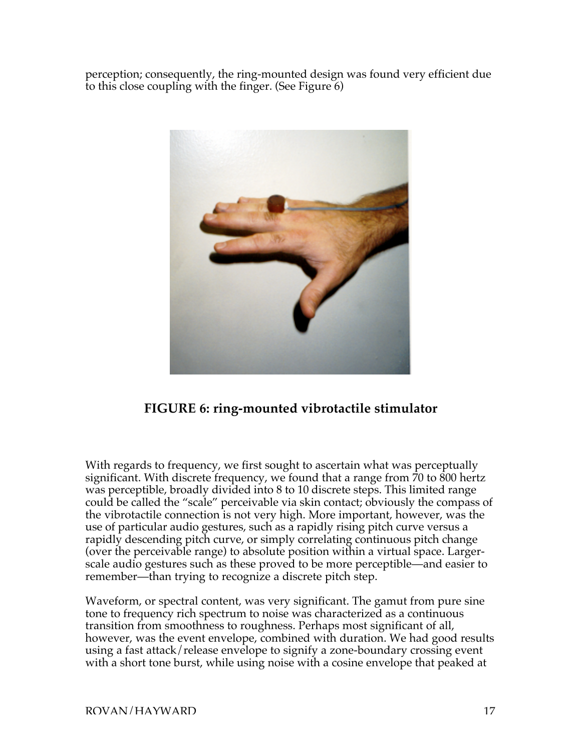perception; consequently, the ring-mounted design was found very efficient due to this close coupling with the finger. (See Figure 6)



# **FIGURE 6: ring-mounted vibrotactile stimulator**

With regards to frequency, we first sought to ascertain what was perceptually significant. With discrete frequency, we found that a range from 70 to 800 hertz was perceptible, broadly divided into 8 to 10 discrete steps. This limited range could be called the "scale" perceivable via skin contact; obviously the compass of the vibrotactile connection is not very high. More important, however, was the use of particular audio gestures, such as a rapidly rising pitch curve versus a rapidly descending pitch curve, or simply correlating continuous pitch change (over the perceivable range) to absolute position within a virtual space. Largerscale audio gestures such as these proved to be more perceptible—and easier to remember—than trying to recognize a discrete pitch step.

Waveform, or spectral content, was very significant. The gamut from pure sine tone to frequency rich spectrum to noise was characterized as a continuous transition from smoothness to roughness. Perhaps most significant of all, however, was the event envelope, combined with duration. We had good results using a fast attack/release envelope to signify a zone-boundary crossing event with a short tone burst, while using noise with a cosine envelope that peaked at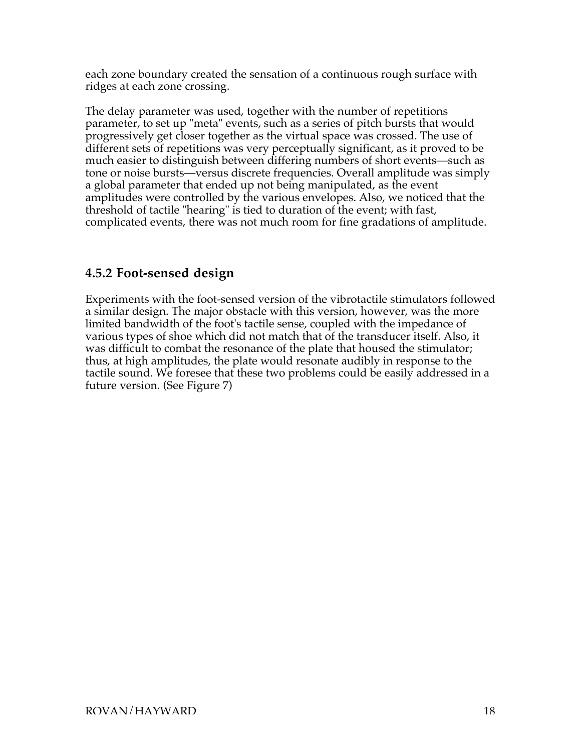each zone boundary created the sensation of a continuous rough surface with ridges at each zone crossing.

The delay parameter was used, together with the number of repetitions parameter, to set up "meta" events, such as a series of pitch bursts that would progressively get closer together as the virtual space was crossed. The use of different sets of repetitions was very perceptually significant, as it proved to be much easier to distinguish between differing numbers of short events—such as tone or noise bursts—versus discrete frequencies. Overall amplitude was simply a global parameter that ended up not being manipulated, as the event amplitudes were controlled by the various envelopes. Also, we noticed that the threshold of tactile "hearing" is tied to duration of the event; with fast, complicated events, there was not much room for fine gradations of amplitude.

## **4.5.2 Foot-sensed design**

Experiments with the foot-sensed version of the vibrotactile stimulators followed a similar design. The major obstacle with this version, however, was the more limited bandwidth of the foot's tactile sense, coupled with the impedance of various types of shoe which did not match that of the transducer itself. Also, it was difficult to combat the resonance of the plate that housed the stimulator; thus, at high amplitudes, the plate would resonate audibly in response to the tactile sound. We foresee that these two problems could be easily addressed in a future version. (See Figure 7)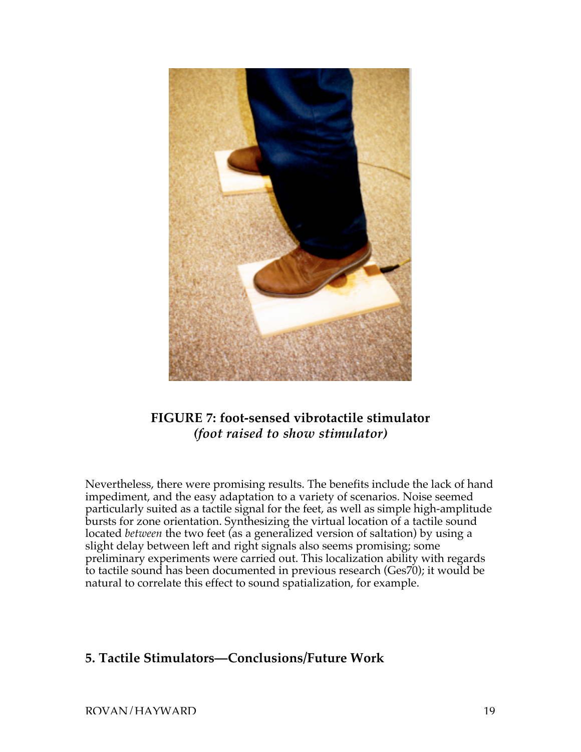

# **FIGURE 7: foot-sensed vibrotactile stimulator** *(foot raised to show stimulator)*

Nevertheless, there were promising results. The benefits include the lack of hand impediment, and the easy adaptation to a variety of scenarios. Noise seemed particularly suited as a tactile signal for the feet, as well as simple high-amplitude bursts for zone orientation. Synthesizing the virtual location of a tactile sound located *between* the two feet (as a generalized version of saltation) by using a slight delay between left and right signals also seems promising; some preliminary experiments were carried out. This localization ability with regards to tactile sound has been documented in previous research (Ges70); it would be natural to correlate this effect to sound spatialization, for example.

#### **5. Tactile Stimulators—Conclusions/Future Work**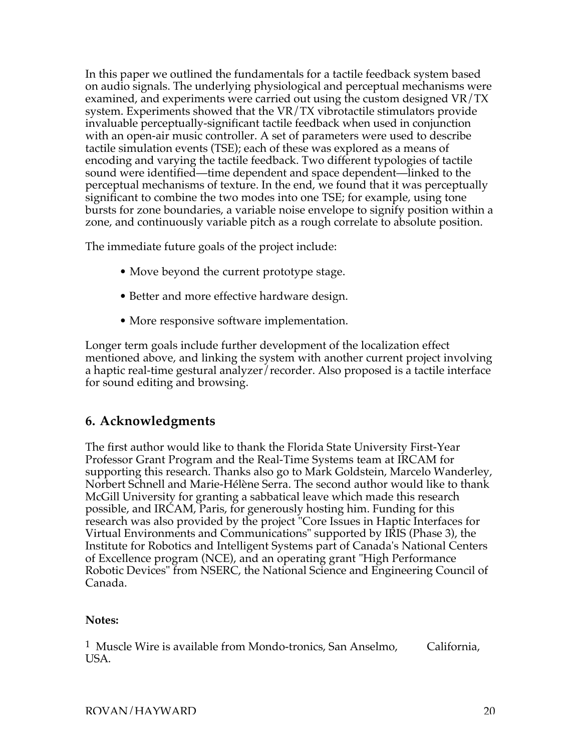In this paper we outlined the fundamentals for a tactile feedback system based on audio signals. The underlying physiological and perceptual mechanisms were examined, and experiments were carried out using the custom designed VR/TX system. Experiments showed that the VR/TX vibrotactile stimulators provide invaluable perceptually-significant tactile feedback when used in conjunction with an open-air music controller. A set of parameters were used to describe tactile simulation events (TSE); each of these was explored as a means of encoding and varying the tactile feedback. Two different typologies of tactile sound were identified—time dependent and space dependent—linked to the perceptual mechanisms of texture. In the end, we found that it was perceptually significant to combine the two modes into one TSE; for example, using tone bursts for zone boundaries, a variable noise envelope to signify position within a zone, and continuously variable pitch as a rough correlate to absolute position.

The immediate future goals of the project include:

- Move beyond the current prototype stage.
- Better and more effective hardware design.
- More responsive software implementation.

Longer term goals include further development of the localization effect mentioned above, and linking the system with another current project involving a haptic real-time gestural analyzer/recorder. Also proposed is a tactile interface for sound editing and browsing.

## **6. Acknowledgments**

The first author would like to thank the Florida State University First-Year Professor Grant Program and the Real-Time Systems team at IRCAM for supporting this research. Thanks also go to Mark Goldstein, Marcelo Wanderley, Norbert Schnell and Marie-Hélène Serra. The second author would like to thank McGill University for granting a sabbatical leave which made this research possible, and IRCAM, Paris, for generously hosting him. Funding for this research was also provided by the project "Core Issues in Haptic Interfaces for Virtual Environments and Communications" supported by IRIS (Phase 3), the Institute for Robotics and Intelligent Systems part of Canada's National Centers of Excellence program (NCE), and an operating grant "High Performance Robotic Devices" from NSERC, the National Science and Engineering Council of Canada.

#### **Notes:**

1 Muscle Wire is available from Mondo-tronics, San Anselmo, California, USA.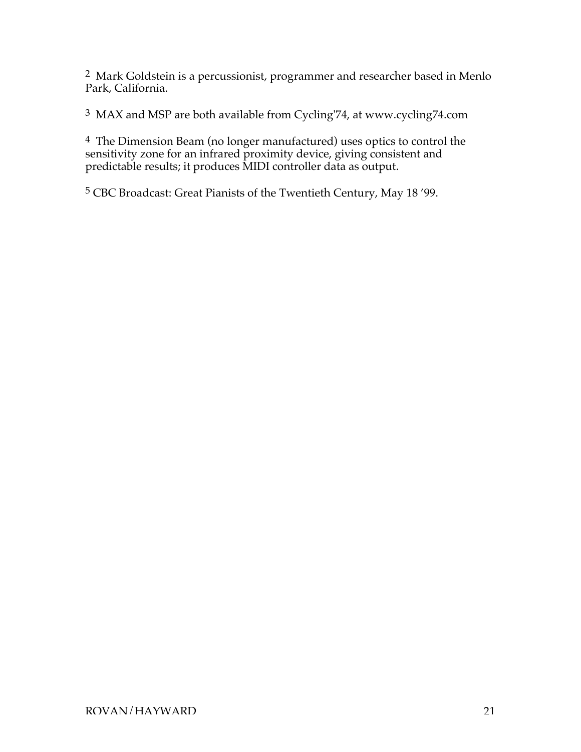2 Mark Goldstein is a percussionist, programmer and researcher based in Menlo Park, California.

3 MAX and MSP are both available from Cycling'74, at www.cycling74.com

 $4$  The Dimension Beam (no longer manufactured) uses optics to control the sensitivity zone for an infrared proximity device, giving consistent and predictable results; it produces MIDI controller data as output.

5 CBC Broadcast: Great Pianists of the Twentieth Century, May 18 '99.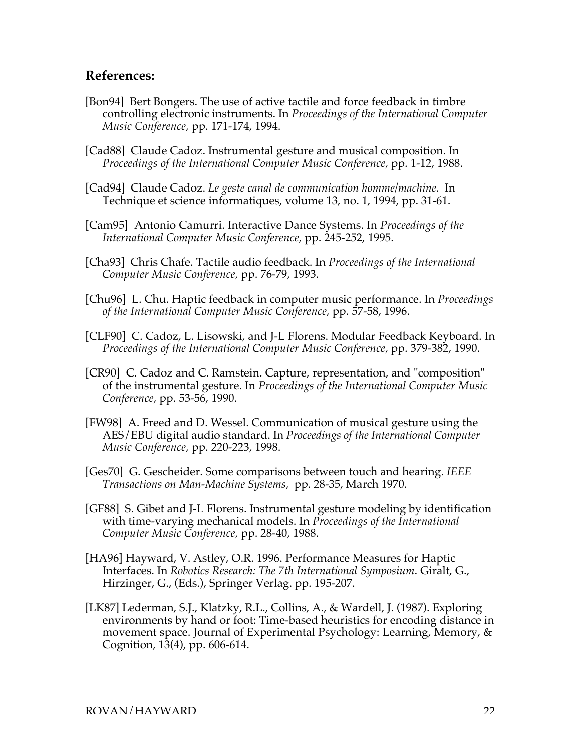#### **References:**

- [Bon94] Bert Bongers. The use of active tactile and force feedback in timbre controlling electronic instruments. In *Proceedings of the International Computer Music Conference,* pp. 171-174, 1994.
- [Cad88] Claude Cadoz. Instrumental gesture and musical composition. In *Proceedings of the International Computer Music Conference,* pp. 1-12, 1988.
- [Cad94] Claude Cadoz. *Le geste canal de communication homme/machine.* In Technique et science informatiques, volume 13, no. 1, 1994, pp. 31-61.
- [Cam95] Antonio Camurri. Interactive Dance Systems. In *Proceedings of the International Computer Music Conference,* pp. 245-252, 1995.
- [Cha93] Chris Chafe. Tactile audio feedback. In *Proceedings of the International Computer Music Conference,* pp. 76-79, 1993.
- [Chu96] L. Chu. Haptic feedback in computer music performance. In *Proceedings of the International Computer Music Conference,* pp. 57-58, 1996.
- [CLF90] C. Cadoz, L. Lisowski, and J-L Florens. Modular Feedback Keyboard. In *Proceedings of the International Computer Music Conference,* pp. 379-382, 1990.
- [CR90] C. Cadoz and C. Ramstein. Capture, representation, and "composition" of the instrumental gesture. In *Proceedings of the International Computer Music Conference,* pp. 53-56, 1990.
- [FW98] A. Freed and D. Wessel. Communication of musical gesture using the AES/EBU digital audio standard. In *Proceedings of the International Computer Music Conference,* pp. 220-223, 1998.
- [Ges70] G. Gescheider. Some comparisons between touch and hearing. *IEEE Transactions on Man-Machine Systems,* pp. 28-35, March 1970.
- [GF88] S. Gibet and J-L Florens. Instrumental gesture modeling by identification with time-varying mechanical models. In *Proceedings of the International Computer Music Conference,* pp. 28-40, 1988.
- [HA96] Hayward, V. Astley, O.R. 1996. Performance Measures for Haptic Interfaces. In *Robotics Research: The 7th International Symposium*. Giralt, G., Hirzinger, G., (Eds.), Springer Verlag. pp. 195-207.
- [LK87] Lederman, S.J., Klatzky, R.L., Collins, A., & Wardell, J. (1987). Exploring environments by hand or foot: Time-based heuristics for encoding distance in movement space. Journal of Experimental Psychology: Learning, Memory, & Cognition, 13(4), pp. 606-614.